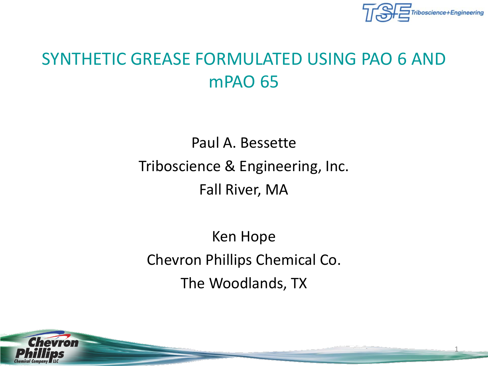

1

#### SYNTHETIC GREASE FORMULATED USING PAO 6 AND mPAO 65

Paul A. Bessette Triboscience & Engineering, Inc. Fall River, MA

Ken Hope Chevron Phillips Chemical Co. The Woodlands, TX

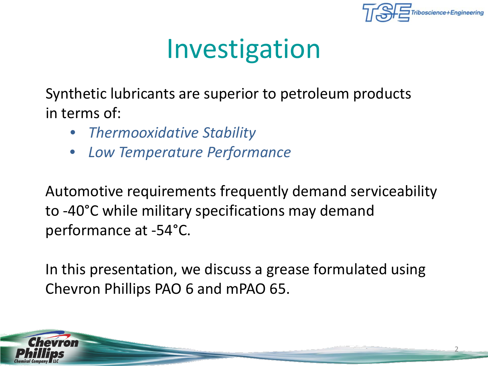

2

## Investigation

Synthetic lubricants are superior to petroleum products in terms of:

- *Thermooxidative Stability*
- *Low Temperature Performance*

Automotive requirements frequently demand serviceability to -40°C while military specifications may demand performance at -54°C.

In this presentation, we discuss a grease formulated using Chevron Phillips PAO 6 and mPAO 65.

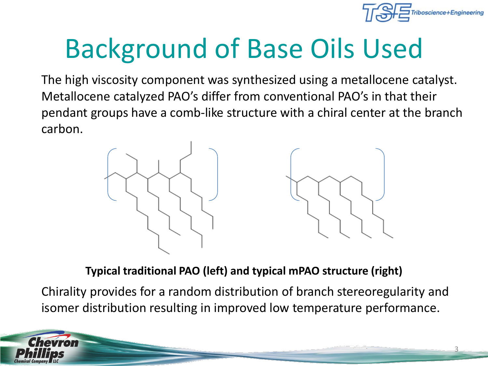

# Background of Base Oils Used

The high viscosity component was synthesized using a metallocene catalyst. Metallocene catalyzed PAO's differ from conventional PAO's in that their pendant groups have a comb-like structure with a chiral center at the branch carbon.



**Typical traditional PAO (left) and typical mPAO structure (right)**

Chirality provides for a random distribution of branch stereoregularity and isomer distribution resulting in improved low temperature performance.

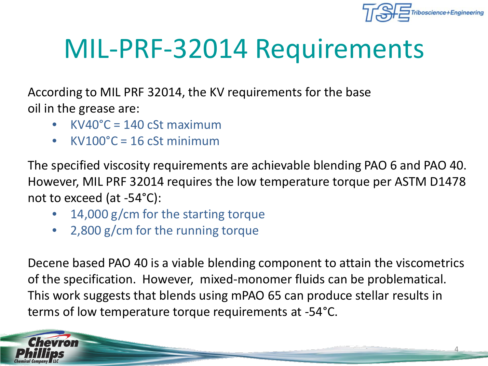

4

# MIL-PRF-32014 Requirements

According to MIL PRF 32014, the KV requirements for the base oil in the grease are:

- $KV40^{\circ}C = 140 \text{ cSt maximum}$
- $KV100^{\circ}C = 16$  cSt minimum

The specified viscosity requirements are achievable blending PAO 6 and PAO 40. However, MIL PRF 32014 requires the low temperature torque per ASTM D1478 not to exceed (at -54°C):

- 14,000 g/cm for the starting torque
- 2,800 g/cm for the running torque

Decene based PAO 40 is a viable blending component to attain the viscometrics of the specification. However, mixed-monomer fluids can be problematical. This work suggests that blends using mPAO 65 can produce stellar results in terms of low temperature torque requirements at -54°C.

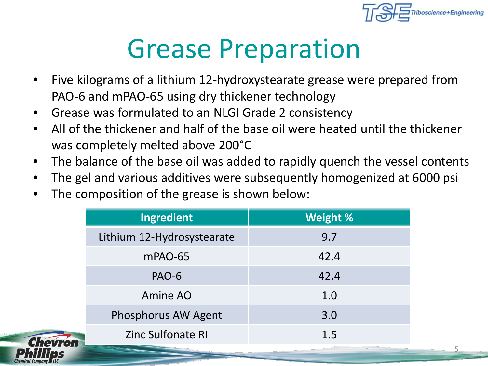

## Grease Preparation

- Five kilograms of a lithium 12-hydroxystearate grease were prepared from PAO-6 and mPAO-65 using dry thickener technology
- Grease was formulated to an NLGI Grade 2 consistency
- All of the thickener and half of the base oil were heated until the thickener was completely melted above 200°C
- The balance of the base oil was added to rapidly quench the vessel contents
- The gel and various additives were subsequently homogenized at 6000 psi
- The composition of the grease is shown below:

| <b>Ingredient</b>          | <b>Weight %</b> |  |  |
|----------------------------|-----------------|--|--|
| Lithium 12-Hydrosystearate | 9.7             |  |  |
| mPAO-65                    | 42.4            |  |  |
| <b>PAO-6</b>               | 42.4            |  |  |
| Amine AO                   | 1.0             |  |  |
| Phosphorus AW Agent        | 3.0             |  |  |
| <b>Zinc Sulfonate RI</b>   | 1.5             |  |  |

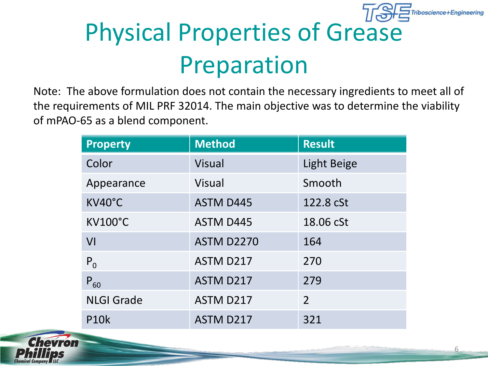

# Physical Properties of Grease Preparation

Note: The above formulation does not contain the necessary ingredients to meet all of the requirements of MIL PRF 32014. The main objective was to determine the viability of mPAO-65 as a blend component.

| <b>Property</b>   | <b>Method</b>     | <b>Result</b>  |
|-------------------|-------------------|----------------|
| Color             | <b>Visual</b>     | Light Beige    |
| Appearance        | <b>Visual</b>     | Smooth         |
| KV40°C            | <b>ASTM D445</b>  | 122.8 cSt      |
| <b>KV100°C</b>    | <b>ASTM D445</b>  | 18.06 cSt      |
| VI                | <b>ASTM D2270</b> | 164            |
| $P_0$             | ASTM D217         | 270            |
| $P_{60}$          | ASTM D217         | 279            |
| <b>NLGI Grade</b> | ASTM D217         | $\overline{2}$ |
| <b>P10k</b>       | ASTM D217         | 321            |

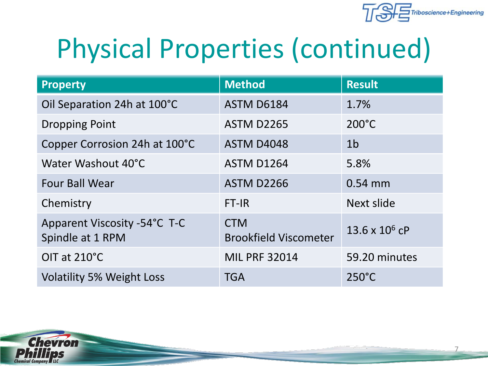

# Physical Properties (continued)

| <b>Property</b>                                  | <b>Method</b>                              | <b>Result</b>         |
|--------------------------------------------------|--------------------------------------------|-----------------------|
| Oil Separation 24h at 100°C                      | <b>ASTM D6184</b>                          | 1.7%                  |
| <b>Dropping Point</b>                            | <b>ASTM D2265</b>                          | $200^{\circ}$ C       |
| Copper Corrosion 24h at 100°C                    | <b>ASTM D4048</b>                          | 1 <sub>b</sub>        |
| Water Washout 40°C                               | <b>ASTM D1264</b>                          | 5.8%                  |
| <b>Four Ball Wear</b>                            | <b>ASTM D2266</b>                          | 0.54 mm               |
| Chemistry                                        | FT-IR                                      | Next slide            |
| Apparent Viscosity -54°C T-C<br>Spindle at 1 RPM | <b>CTM</b><br><b>Brookfield Viscometer</b> | $13.6 \times 10^6$ cP |
| OIT at 210°C                                     | <b>MIL PRF 32014</b>                       | 59.20 minutes         |
| <b>Volatility 5% Weight Loss</b>                 | <b>TGA</b>                                 | $250^{\circ}$ C       |

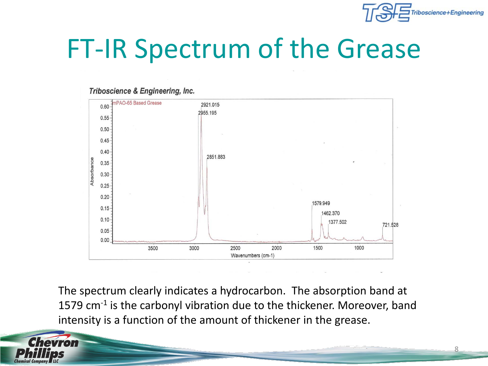

#### FT-IR Spectrum of the Grease

#### Triboscience & Engineering, Inc.



The spectrum clearly indicates a hydrocarbon. The absorption band at 1579 cm<sup>-1</sup> is the carbonyl vibration due to the thickener. Moreover, band intensity is a function of the amount of thickener in the grease.

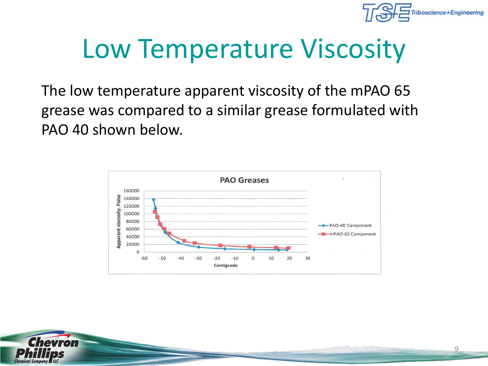

# Low Temperature Viscosity

The low temperature apparent viscosity of the mPAO 65 grease was compared to a similar grease formulated with PAO 40 shown below.



![](_page_8_Picture_4.jpeg)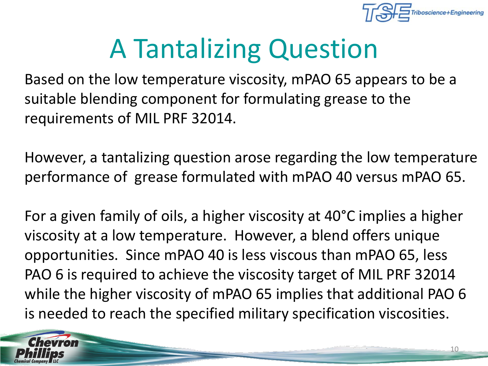![](_page_9_Picture_0.jpeg)

# A Tantalizing Question

Based on the low temperature viscosity, mPAO 65 appears to be a suitable blending component for formulating grease to the requirements of MIL PRF 32014.

However, a tantalizing question arose regarding the low temperature performance of grease formulated with mPAO 40 versus mPAO 65.

For a given family of oils, a higher viscosity at 40°C implies a higher viscosity at a low temperature. However, a blend offers unique opportunities. Since mPAO 40 is less viscous than mPAO 65, less PAO 6 is required to achieve the viscosity target of MIL PRF 32014 while the higher viscosity of mPAO 65 implies that additional PAO 6 is needed to reach the specified military specification viscosities.

![](_page_9_Picture_5.jpeg)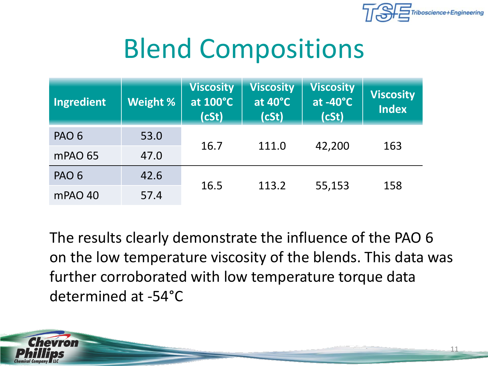![](_page_10_Picture_0.jpeg)

#### Blend Compositions

| Ingredient       | Weight % | <b>Viscosity</b><br>at 100°C<br>(cSt) | <b>Viscosity</b><br>at 40°C<br>(cSt) | <b>Viscosity</b><br>at $-40^{\circ}$ C<br>(cSt) | <b>Viscosity</b><br><b>Index</b> |
|------------------|----------|---------------------------------------|--------------------------------------|-------------------------------------------------|----------------------------------|
| PAO <sub>6</sub> | 53.0     |                                       | 111.0                                |                                                 |                                  |
| mPAO 65          | 47.0     | 16.7                                  |                                      | 42,200                                          | 163                              |
| PAO <sub>6</sub> | 42.6     |                                       | 113.2                                | 55,153                                          | 158                              |
| mPAO 40          | 57.4     | 16.5                                  |                                      |                                                 |                                  |

The results clearly demonstrate the influence of the PAO 6 on the low temperature viscosity of the blends. This data was further corroborated with low temperature torque data determined at -54°C

![](_page_10_Picture_4.jpeg)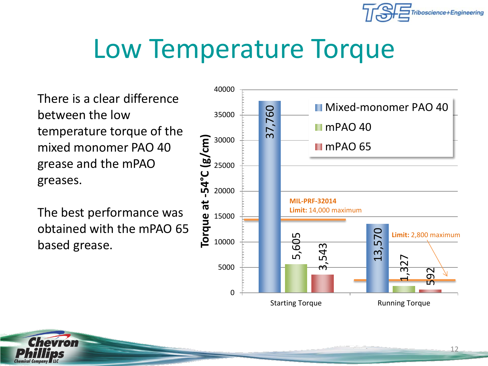![](_page_11_Picture_0.jpeg)

#### Low Temperature Torque

There is a clear difference between the low temperature torque of the mixed monomer PAO 40 grease and the mPAO greases.

The best performance was obtained with the mPAO 65 based grease.

![](_page_11_Figure_4.jpeg)

![](_page_11_Picture_5.jpeg)